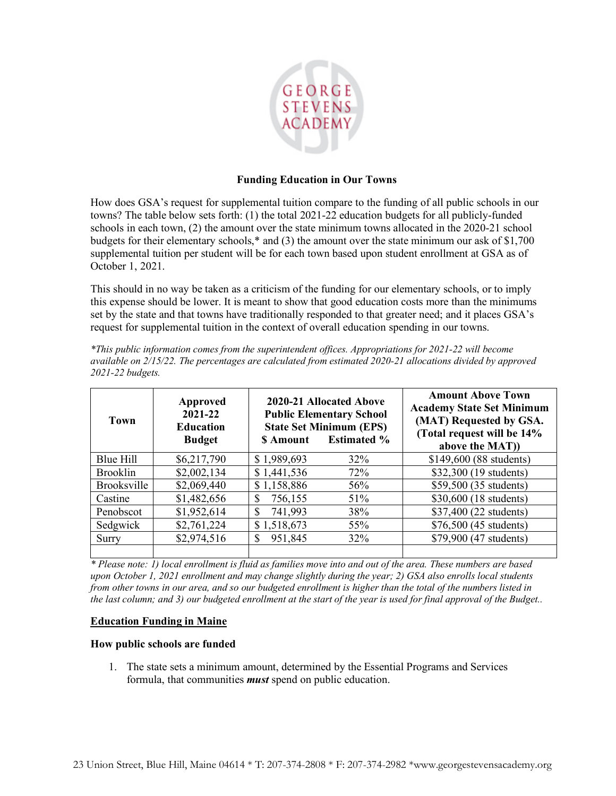

## **Funding Education in Our Towns**

How does GSA's request for supplemental tuition compare to the funding of all public schools in our towns? The table below sets forth: (1) the total 2021-22 education budgets for all publicly-funded schools in each town, (2) the amount over the state minimum towns allocated in the 2020-21 school budgets for their elementary schools,\* and (3) the amount over the state minimum our ask of \$1,700 supplemental tuition per student will be for each town based upon student enrollment at GSA as of October 1, 2021.

This should in no way be taken as a criticism of the funding for our elementary schools, or to imply this expense should be lower. It is meant to show that good education costs more than the minimums set by the state and that towns have traditionally responded to that greater need; and it places GSA's request for supplemental tuition in the context of overall education spending in our towns.

| Town               | Approved<br>2021-22<br><b>Education</b><br><b>Budget</b> | \$ Amount     | 2020-21 Allocated Above<br><b>Public Elementary School</b><br><b>State Set Minimum (EPS)</b><br><b>Estimated %</b> | <b>Amount Above Town</b><br><b>Academy State Set Minimum</b><br>(MAT) Requested by GSA.<br>(Total request will be 14%<br>above the MAT)) |
|--------------------|----------------------------------------------------------|---------------|--------------------------------------------------------------------------------------------------------------------|------------------------------------------------------------------------------------------------------------------------------------------|
| Blue Hill          | \$6,217,790                                              | \$1,989,693   | 32%                                                                                                                | \$149,600 (88 students)                                                                                                                  |
| <b>Brooklin</b>    | \$2,002,134                                              | \$1,441,536   | 72%                                                                                                                | \$32,300 (19 students)                                                                                                                   |
| <b>Brooksville</b> | \$2,069,440                                              | \$1,158,886   | 56%                                                                                                                | \$59,500 (35 students)                                                                                                                   |
| Castine            | \$1,482,656                                              | 756,155<br>S  | 51%                                                                                                                | \$30,600 (18 students)                                                                                                                   |
| Penobscot          | \$1,952,614                                              | 741,993<br>S  | 38%                                                                                                                | \$37,400 (22 students)                                                                                                                   |
| Sedgwick           | \$2,761,224                                              | \$1,518,673   | 55%                                                                                                                | \$76,500 (45 students)                                                                                                                   |
| Surry              | \$2,974,516                                              | 951,845<br>\$ | 32%                                                                                                                | \$79,900 (47 students)                                                                                                                   |
|                    |                                                          |               |                                                                                                                    |                                                                                                                                          |

*\*This public information comes from the superintendent offices. Appropriations for 2021-22 will become available on 2/15/22. The percentages are calculated from estimated 2020-21 allocations divided by approved 2021-22 budgets.*

*\* Please note: 1) local enrollment is fluid as families move into and out of the area. These numbers are based upon October 1, 2021 enrollment and may change slightly during the year; 2) GSA also enrolls local students from other towns in our area, and so our budgeted enrollment is higher than the total of the numbers listed in the last column; and 3) our budgeted enrollment at the start of the year is used for final approval of the Budget..*

## **Education Funding in Maine**

## **How public schools are funded**

1. The state sets a minimum amount, determined by the Essential Programs and Services formula, that communities *must* spend on public education.